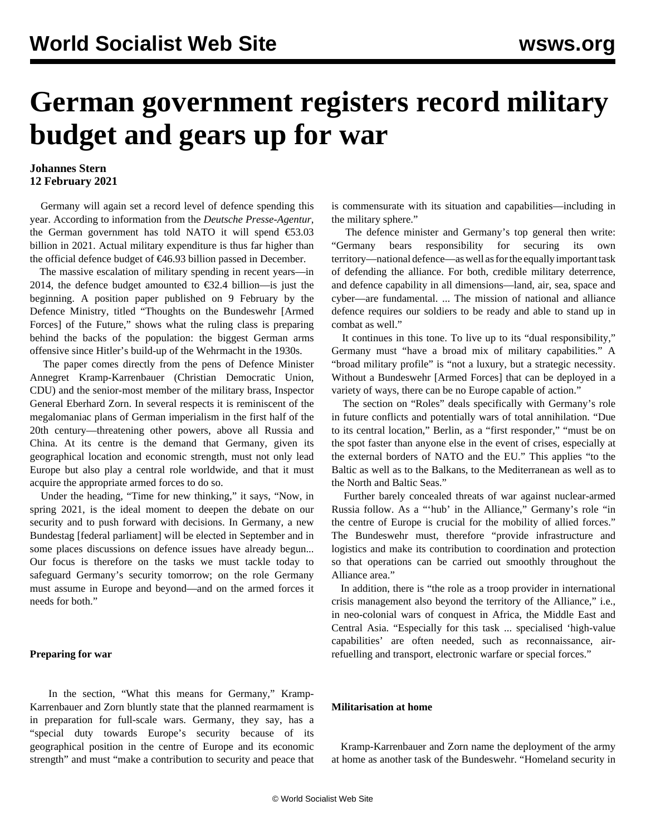# **German government registers record military budget and gears up for war**

### **Johannes Stern 12 February 2021**

 Germany will again set a record level of defence spending this year. According to information from the *Deutsche Presse-Agentur*, the German government has told NATO it will spend €53.03 billion in 2021. Actual military expenditure is thus far higher than the official [defence budget](/en/articles/2020/12/17/mili-d17.html) of €46.93 billion passed in December.

 The massive escalation of military spending in recent years—in 2014, the defence budget amounted to  $\epsilon$ 32.4 billion—is just the beginning. A position paper published on 9 February by the Defence Ministry, titled "Thoughts on the Bundeswehr [Armed Forces] of the Future," shows what the ruling class is preparing behind the backs of the population: the biggest German arms offensive since Hitler's build-up of the Wehrmacht in the 1930s.

 The paper comes directly from the pens of Defence Minister Annegret Kramp-Karrenbauer (Christian Democratic Union, CDU) and the senior-most member of the military brass, Inspector General Eberhard Zorn. In several respects it is reminiscent of the megalomaniac plans of German imperialism in the first half of the 20th century—threatening other powers, above all Russia and China. At its centre is the demand that Germany, given its geographical location and economic strength, must not only lead Europe but also play a central role worldwide, and that it must acquire the appropriate armed forces to do so.

 Under the heading, "Time for new thinking," it says, "Now, in spring 2021, is the ideal moment to deepen the debate on our security and to push forward with decisions. In Germany, a new Bundestag [federal parliament] will be elected in September and in some places discussions on defence issues have already begun... Our focus is therefore on the tasks we must tackle today to safeguard Germany's security tomorrow; on the role Germany must assume in Europe and beyond—and on the armed forces it needs for both."

#### **Preparing for war**

 In the section, "What this means for Germany," Kramp-Karrenbauer and Zorn bluntly state that the planned rearmament is in preparation for full-scale wars. Germany, they say, has a "special duty towards Europe's security because of its geographical position in the centre of Europe and its economic strength" and must "make a contribution to security and peace that is commensurate with its situation and capabilities—including in the military sphere."

 The defence minister and Germany's top general then write: "Germany bears responsibility for securing its own territory—national defence—as well as for the equally important task of defending the alliance. For both, credible military deterrence, and defence capability in all dimensions—land, air, sea, space and cyber—are fundamental. ... The mission of national and alliance defence requires our soldiers to be ready and able to stand up in combat as well."

 It continues in this tone. To live up to its "dual responsibility," Germany must "have a broad mix of military capabilities." A "broad military profile" is "not a luxury, but a strategic necessity. Without a Bundeswehr [Armed Forces] that can be deployed in a variety of ways, there can be no Europe capable of action."

 The section on "Roles" deals specifically with Germany's role in future conflicts and potentially wars of total annihilation. "Due to its central location," Berlin, as a "first responder," "must be on the spot faster than anyone else in the event of crises, especially at the external borders of NATO and the EU." This applies "to the Baltic as well as to the Balkans, to the Mediterranean as well as to the North and Baltic Seas."

 Further barely concealed threats of war against nuclear-armed Russia follow. As a "'hub' in the Alliance," Germany's role "in the centre of Europe is crucial for the mobility of allied forces." The Bundeswehr must, therefore "provide infrastructure and logistics and make its contribution to coordination and protection so that operations can be carried out smoothly throughout the Alliance area."

 In addition, there is "the role as a troop provider in international crisis management also beyond the territory of the Alliance," i.e., in neo-colonial wars of conquest in Africa, the Middle East and Central Asia. "Especially for this task ... specialised 'high-value capabilities' are often needed, such as reconnaissance, airrefuelling and transport, electronic warfare or special forces."

#### **Militarisation at home**

 Kramp-Karrenbauer and Zorn name the deployment of the army at home as another task of the Bundeswehr. "Homeland security in